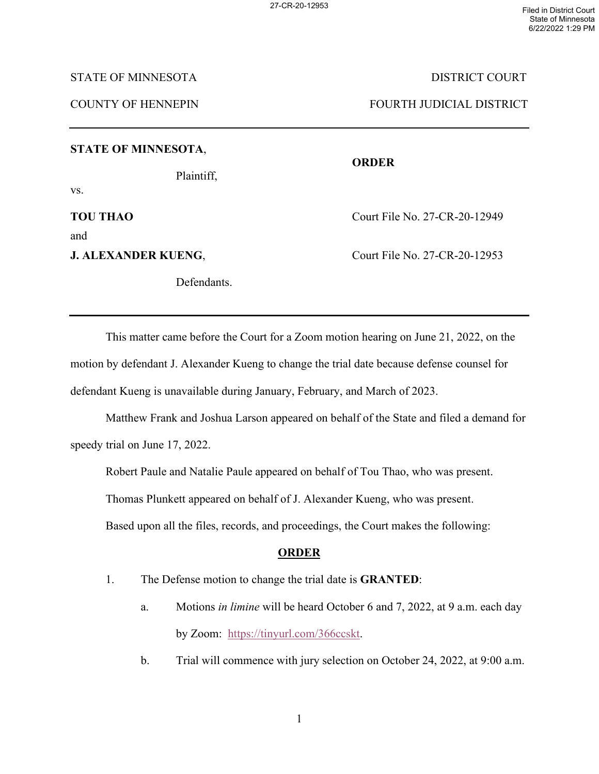### STATE OF MINNESOTA DISTRICT COURT

COUNTY OF HENNEPIN FOURTH JUDICIAL DISTRICT

### **STATE OF MINNESOTA**,

Plaintiff,

vs.

and

Defendants.

## **ORDER**

**TOU THAO** Court File No. 27-CR-20-12949

**J. ALEXANDER KUENG, Court File No. 27-CR-20-12953** 

This matter came before the Court for a Zoom motion hearing on June 21, 2022, on the motion by defendant J. Alexander Kueng to change the trial date because defense counsel for defendant Kueng is unavailable during January, February, and March of 2023.

Matthew Frank and Joshua Larson appeared on behalf of the State and filed a demand for speedy trial on June 17, 2022.

Robert Paule and Natalie Paule appeared on behalf of Tou Thao, who was present.

Thomas Plunkett appeared on behalf of J. Alexander Kueng, who was present.

Based upon all the files, records, and proceedings, the Court makes the following:

# **ORDER**

- 1. The Defense motion to change the trial date is **GRANTED**:
	- a. Motions *in limine* will be heard October 6 and 7, 2022, at 9 a.m. each day by Zoom: [https://tinyurl.com/366ccskt.](https://tinyurl.com/366ccskt)
	- b. Trial will commence with jury selection on October 24, 2022, at 9:00 a.m.